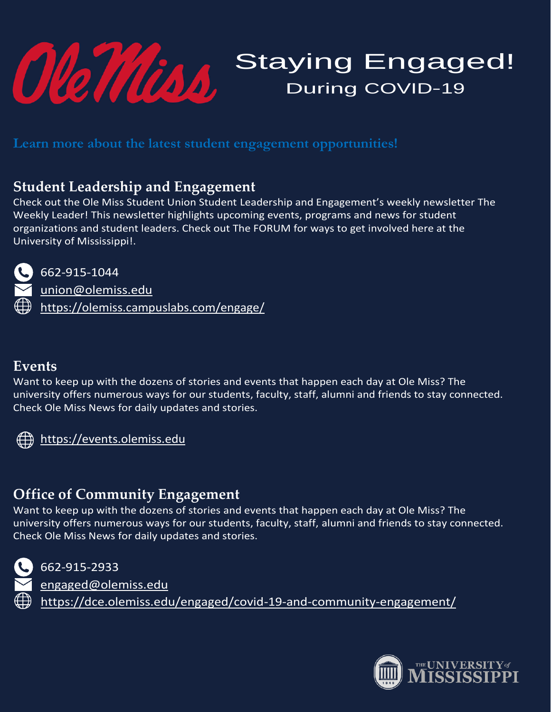

# Staying Engaged! During COVID-19

**Learn more about the latest student engagement opportunities!** 

## **Student Leadership and Engagement**

Check out the Ole Miss Student Union Student Leadership and Engagement's weekly newsletter The Weekly Leader! This newsletter highlights upcoming events, programs and news for student organizations and student leaders. Check out The FORUM for ways to get involved here at the University of Mississippi!.



662-915-1044

[union@olemiss.edu](mailto:union@olemiss.edu) <https://olemiss.campuslabs.com/engage/>

### **Events**

Want to keep up with the dozens of stories and events that happen each day at Ole Miss? The university offers numerous ways for our students, faculty, staff, alumni and friends to stay connected. Check Ole Miss News for daily updates and stories.



[https://events.olemiss.edu](https://events.olemiss.edu/)

## **Office of Community Engagement**

Want to keep up with the dozens of stories and events that happen each day at Ole Miss? The university offers numerous ways for our students, faculty, staff, alumni and friends to stay connected. Check Ole Miss News for daily updates and stories.



662-915-2933

[engaged@olemiss.edu](mailto:engaged@olemiss.edu) <https://dce.olemiss.edu/engaged/covid-19-and-community-engagement/>

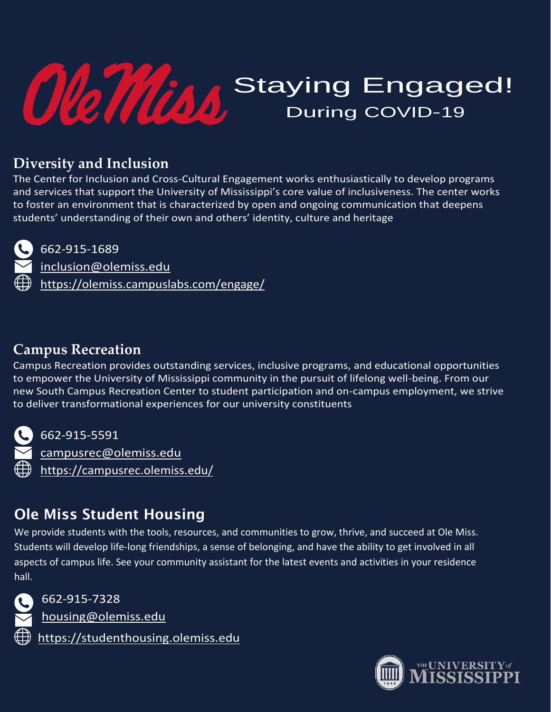

## **Diversity and Inclusion**

The Center for Inclusion and Cross-Cultural Engagement works enthusiastically to develop programs and services that support the University of Mississippi's core value of inclusiveness. The center works to foster an environment that is characterized by open and ongoing communication that deepens students' understanding of their own and others' identity, culture and heritage



### 662-915-1689

[inclusion@olemiss.edu](mailto:inclusion@olemiss.edu) <https://olemiss.campuslabs.com/engage/>

## **Campus Recreation**

Campus Recreation provides outstanding services, inclusive programs, and educational opportunities to empower the University of Mississippi community in the pursuit of lifelong well-being. From our new South Campus Recreation Center to student participation and on-campus employment, we strive to deliver transformational experiences for our university constituents



662-915-5591 [campusrec@olemiss.edu](mailto:campusrec@olemiss.edu) <https://campusrec.olemiss.edu/>

# Ole Miss Student Housing

We provide students with the tools, resources, and communities to grow, thrive, and succeed at Ole Miss. Students will develop life-long friendships, a sense of belonging, and have the ability to get involved in all aspects of campus life. See your community assistant for the latest events and activities in your residence hall.



662-915-7328

[housing@olemiss.edu](mailto:housing@olemiss.edu)

[https://studenthousing.olemiss.edu](https://studenthousing.olemiss.edu/)

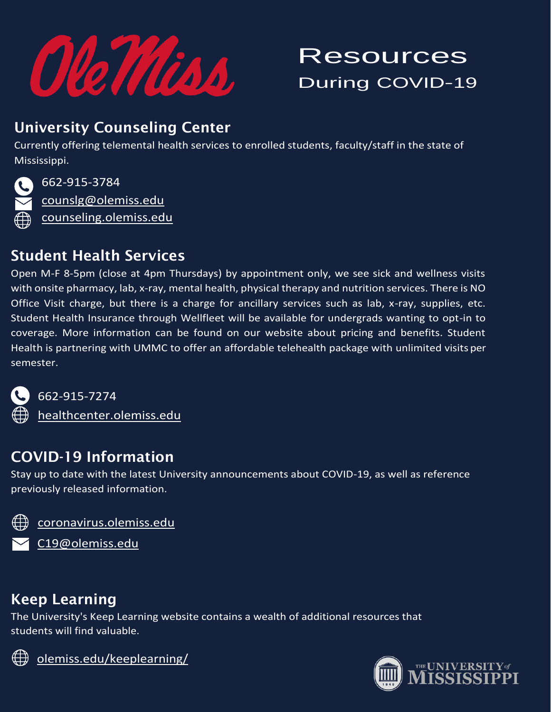

# Resources During COVID-19

## University Counseling Center

Currently offering telemental health services to enrolled students, faculty/staff in the state of Mississippi.



662-915-3784 [counslg@olemiss.edu](mailto:counslg@olemiss.edu) [counseling.olemiss.edu](http://counseling.olemiss.edu/)

## Student Health Services

Open M-F 8-5pm (close at 4pm Thursdays) by appointment only, we see sick and wellness visits with onsite pharmacy, lab, x-ray, mental health, physical therapy and nutrition services. There is NO Office Visit charge, but there is a charge for ancillary services such as lab, x-ray, supplies, etc. Student Health Insurance through Wellfleet will be available for undergrads wanting to opt-in to coverage. More information can be found on our website about pricing and benefits. Student Health is partnering with UMMC to offer an affordable telehealth package with unlimited visits per semester.



662-915-7274

[healthcenter.olemiss.edu](http://healthcenter.olemiss.edu/)

## COVID-19 Information

Stay up to date with the latest University announcements about COVID-19, as well as reference previously released information.



<coronavirus.olemiss.edu>

[C19@olemiss.edu](mailto:C19@olemiss.edu)

## Keep Learning

The University's Keep Learning website contains a wealth of additional resources that students will find valuable.



<olemiss.edu/keeplearning/>

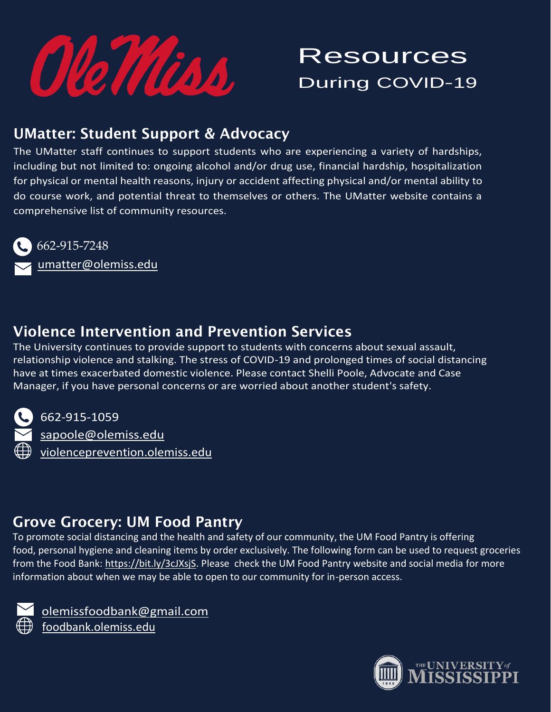

# **Resources** During COVID-19

## UMatter: Student Support & Advocacy

The UMatter staff continues to support students who are experiencing a variety of hardships, including but not limited to: ongoing alcohol and/or drug use, financial hardship, hospitalization for physical or mental health reasons, injury or accident affecting physical and/or mental ability to do course work, and potential threat to themselves or others. The UMatter website contains a comprehensive list of community resources.



662-915-7248 [umatter@olemiss.edu](mailto:umatter@olemiss.edu)

## Violence Intervention and Prevention Services

The University continues to provide support to students with concerns about sexual assault, relationship violence and stalking. The stress of COVID-19 and prolonged times of social distancing have at times exacerbated domestic violence. Please contact Shelli Poole, Advocate and Case Manager, if you have personal concerns or are worried about another student's safety.



662-915-1059 [sapoole@olemiss.edu](mailto:sapoole@olemiss.edu) [violenceprevention.olemiss.edu](http://violenceprevention.olemiss.edu/)

## Grove Grocery: UM Food Pantry

To promote social distancing and the health and safety of our community, the UM Food Pantry is offering food, personal hygiene and cleaning items by order exclusively. The following form can be used to request groceries from the Food Bank: [https://bit.ly/3cJXsjS.](https://bit.ly/3cJXsjS) Please check the UM Food Pantry website and social media for more information about when we may be able to open to our community for in-person access.



 [olemissfoodbank@gmail.com](mailto:olemissfoodbank@gmail.com) [foodbank.olemiss.edu](http://foodbank.olemiss.edu/)

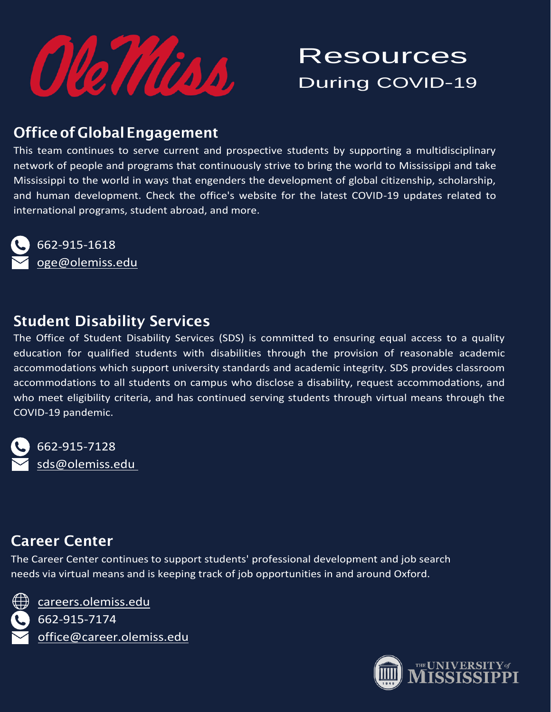

# Resources During COVID-19

## Officeof GlobalEngagement

This team continues to serve current and prospective students by supporting a multidisciplinary network of people and programs that continuously strive to bring the world to Mississippi and take Mississippi to the world in ways that engenders the development of global citizenship, scholarship, and human development. Check the office's website for the latest COVID-19 updates related to international programs, student abroad, and more.

662-915-1618 [oge@olemiss.edu](mailto:oge@olemiss.edu)

## Student Disability Services

The Office of Student Disability Services (SDS) is committed to ensuring equal access to a quality education for qualified students with disabilities through the provision of reasonable academic accommodations which support university standards and academic integrity. SDS provides classroom accommodations to all students on campus who disclose a disability, request accommodations, and who meet eligibility criteria, and has continued serving students through virtual means through the COVID-19 pandemic.

662-915-7128 [sds@olemiss.edu](mailto:sds@olemiss.edu)

## Career Center

The Career Center continues to support students' professional development and job search needs via virtual means and is keeping track of job opportunities in and around Oxford.



[careers.olemiss.edu](http://careers.olemiss.edu/) 662-915-7174 [office@career.olemiss.edu](mailto:office@career.olemiss.edu)

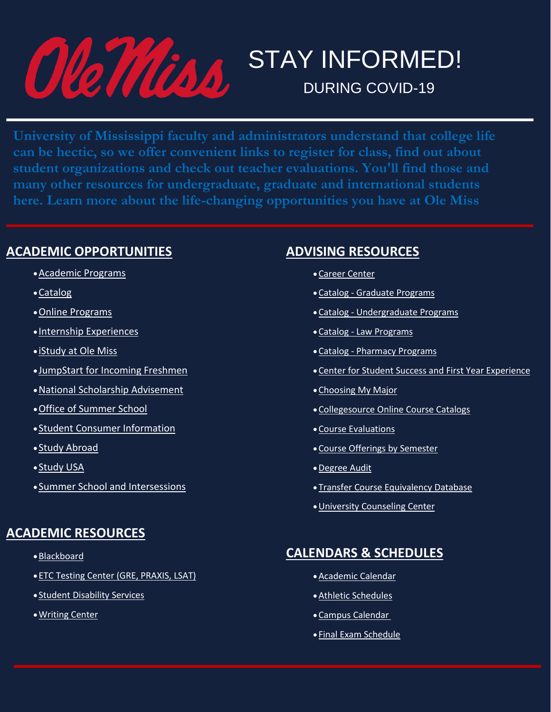

# **STAY INFORMED! DURING COVID-19**

**University of Mississippi faculty and administrators understand that college life can be hectic, so we offer convenient links to register for class, find out about student organizations and check out teacher evaluations. You'll find those and many other resources for undergraduate, graduate and international students here. Learn more about the life-changing opportunities you have at Ole Miss**

### **ACADEMIC OPPORTUNITIES**

- •[Academic](https://olemiss.edu/academics) Programs
- •[Catalog](http://catalog.olemiss.edu/)
- •Online [Programs](http://online.olemiss.edu/)
- Internship [Experiences](http://www.outreach.olemiss.edu/internships)
- [iStudy](http://www.outreach.olemiss.edu/istudy/) at Ole Miss
- [JumpStart](http://www.outreach.olemiss.edu/summer/olemiss_start/) for Incoming Freshmen
- •National Scholarship [Advisement](http://onsa.olemiss.edu/)
- •Office of [Summer](http://www.outreach.olemiss.edu/SummerSchool/) School
- Student Consumer [Information](https://olemiss.edu/info/disclosures/)
- Study [Abroad](http://studyabroad.olemiss.edu/)
- [Study](http://www.outreach.olemiss.edu/study_usa) USA
- Summer School and [Intersessions](http://www.outreach.olemiss.edu/SummerSchool/)

### **ACADEMIC RESOURCES**

- •[Blackboard](http://blackboard.olemiss.edu/)
- ETC Testing Center (GRE, [PRAXIS,](http://www.outreach.olemiss.edu/student/ETS_Test.html) LSAT)
- Student [Disability](http://sds.olemiss.edu/) Services
- •[Writing](https://olemiss.edu/depts/writing_center/) Center

### **ADVISING RESOURCES**

- •Career [Center](http://career.olemiss.edu/)
- •Catalog Graduate [Programs](https://olemiss.edu/gradprograms)
- •Catalog [Undergraduate](https://olemiss.edu/ugprograms) Programs
- •Catalog Law [Programs](https://olemiss.edu/lawprograms)
- •Catalog [Pharmacy](https://olemiss.edu/pharmprograms) Programs
- •Center for Student Success and First Year [Experience](https://olemiss.edu/cssfye/)
- •[Choosing](https://olemiss.edu/libarts/majors/) My Major
- •[Collegesource](http://www.collegesource.org/) Online Course Catalogs
- •Course [Evaluations](https://olemiss.edu/teachevalresults)
- •Course Offerings by [Semester](https://olemiss.edu/courseschedule)
- •[Degree](https://olemiss.edu/degreeaudit) Audit
- Transfer Course [Equivalency](http://transfer.olemiss.edu/transfer-equivalencies/) Database
- •University [Counseling](http://counseling.olemiss.edu/) Center

## **CALENDARS & SCHEDULES**

- •[Academic](https://registrar.olemiss.edu/academic-calendar/) Calendar
- •Athletic [Schedules](http://www.olemisssports.com/)
- •Campus [Calendar](https://events.olemiss.edu/)
- Final Exam [Schedule](https://registrar.olemiss.edu/final-exam-schedule/)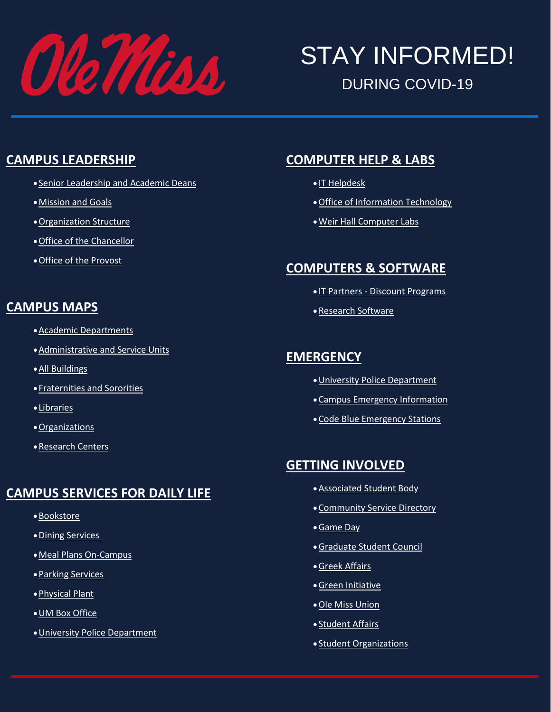

# STAY INFORMED! DURING COVID-19

#### **CAMPUS LEADERSHIP**

- Senior [Leadership](https://olemiss.edu/aboutum/leadership.html) and Academic Deans
- •[Mission](https://olemiss.edu/aboutum/mission.html) and Goals
- •[Organization](http://irep.olemiss.edu/organizational-charts/) Structure
- •Office of the [Chancellor](https://olemiss.edu/depts/chancellor)
- •Office of the [Provost](http://provost.olemiss.edu/)

#### **CAMPUS MAPS**

- •Academic [Departments](https://map.olemiss.edu/?list=Academic+Departments)
- •[Administrative](https://map.olemiss.edu/?list=Administrative+and+Service+Units) and Service Units
- •All [Buildings](https://map.olemiss.edu/?list=All+Buildings)
- [Fraternities](https://map.olemiss.edu/?list=Fraternities+and+Sororities) and Sororities
- [Libraries](https://map.olemiss.edu/?list=Libraries)
- •[Organizations](https://map.olemiss.edu/?list=Organizations)
- •[Research](https://map.olemiss.edu/?list=Research+Centers) Centers

### **CAMPUS SERVICES FOR DAILY LIFE**

- •[Bookstore](http://ole-miss.bncollege.com/)
- •Dining [Services](http://www.olemissdining.com/)
- •Meal Plans [On-Campus](https://olemiss.campusdish.com/en/MealPlans)
- •Parking [Services](https://olemiss.edu/parking)
- •[Physical](https://olemiss.edu/depts/physical_plant/) Plant
- •UM Box [Office](https://olemiss.edu/depts/tickets/)
- •University Police [Department](https://olemiss.edu/police)

## **COMPUTER HELP & LABS**

- IT [Helpdesk](https://olemiss.edu/helpdesk/)
- •Office of [Information](https://olemiss.edu/depts/it/) Technology
- •Weir Hall [Computer](https://olemiss.edu/depts/it/labs/) Labs

## **COMPUTERS & SOFTWARE**

- IT Partners Discount [Programs](https://olemiss.edu/depts/it/computers.html)
- •[Research](https://olemiss.edu/researchsoftwarestudent) Software

#### **EMERGENCY**

- •University Police [Department](https://olemiss.edu/police)
- •Campus Emergency [Information](http://emergency.olemiss.edu/)
- •Code Blue [Emergency](https://olemiss.edu/cmap/pbuttons.php) Stations

### **GETTING INVOLVED**

- •[Associated](http://dos.orgsync.com/org/umasb) Student Body
- •[Community](http://mclean.olemiss.edu/service-directory/) Service Directory
- •[Game](http://www.olemissfb.com/) Day
- •[Graduate](http://www.gsc.olemiss.edu/) Student Council
- •Greek [Affairs](http://greeks.olemiss.edu/)
- •Green [Initiative](https://olemiss.edu/green)
- •Ole Miss [Union](http://union.olemiss.edu/)
- [Student](http://studentaffairs.olemiss.edu/) Affairs
- Student [Organizations](http://dos.orgsync.com/student_organizations)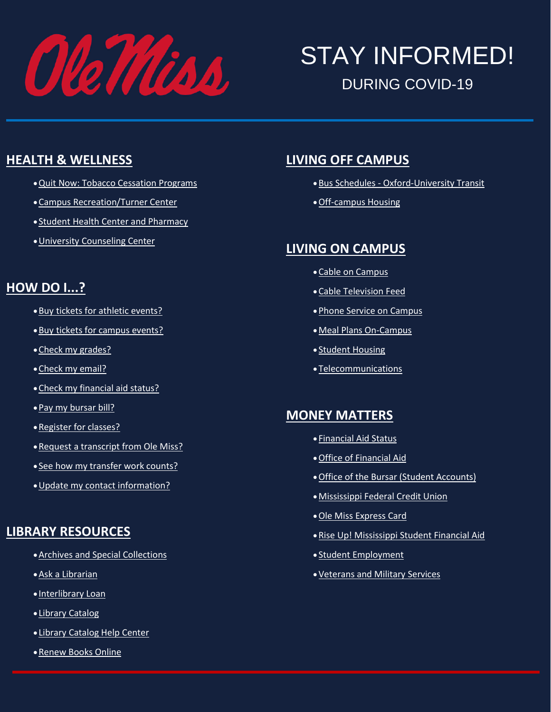

# STAY INFORMED! DURING COVID-19

#### **HEALTH & WELLNESS**

- •Quit Now: Tobacco [Cessation](https://olemiss.edu/quitnow/) Programs
- •Campus [Recreation/Turner](http://campusrec.olemiss.edu/) Center
- Student Health Center and [Pharmacy](http://healthcenter.olemiss.edu/)
- •University [Counseling](http://counseling.olemiss.edu/) Center

#### **HOW DO I...?**

- •Buy tickets for athletic [events?](https://olemiss.edu/athletictickets)
- •Buy tickets for campus [events?](https://olemiss.edu/depts/tickets/)
- •Check my [grades?](https://olemiss.edu/grades)
- •Check my [email?](http://mail.go.olemiss.edu/)
- •Check my [financial](https://olemiss.edu/finaidaward) aid status?
- •Pay my [bursar](https://olemiss.edu/billerdirect) bill?
- •[Register](https://olemiss.edu/registration) for classes?
- Request a [transcript](https://olemiss.edu/transcript) from Ole Miss?
- See how my [transfer](https://olemiss.edu/transferequiv) work counts?
- •Update my contact [information?](https://olemiss.edu/mystudentinfo)

#### **LIBRARY RESOURCES**

- •Archives and Special [Collections](https://libraries.olemiss.edu/archives/)
- •Ask a [Librarian](https://libraries.olemiss.edu/ask-a-librarian/)
- [Interlibrary](http://hermes.lib.olemiss.edu/illiad/) Loan
- Library [Catalog](http://umiss.lib.olemiss.edu/)
- Library [Catalog](http://umiss.lib.olemiss.edu/screens/help_index.html) Help Center
- •[Renew](https://umiss.lib.olemiss.edu/patroninfo~S0) Books Online

#### **LIVING OFF CAMPUS**

- •Bus Schedules [Oxford-University](http://www.oxfordms.net/visitors/oxford-university-transit) Transit
- •[Off-campus](http://offcampus.housing.olemiss.edu/) Housing

#### **LIVING ON CAMPUS**

- •Cable on [Campus](https://olemiss.edu/depts/telecommunications/television.html)
- •Cable [Television](https://olemiss.edu/newsevents/webus.html) Feed
- •Phone Service on [Campus](https://olemiss.edu/depts/telecommunications/telephone.html)
- •Meal Plans [On-Campus](https://olemiss.campusdish.com/en/MealPlans)
- Student [Housing](https://studenthousing.olemiss.edu/)
- [Telecommunications](https://olemiss.edu/depts/telecommunications/)

#### **MONEY MATTERS**

- [Financial](https://olemiss.edu/finaidaward) Aid Status
- •Office of [Financial](https://olemiss.edu/depts/financial_aid/) Aid
- •Office of the Bursar (Student [Accounts\)](https://olemiss.edu/depts/bursar/)
- •[Mississippi](http://msfcu.us/) Federal Credit Union
- •Ole Miss [Express](http://idcenter.olemiss.edu/id-self-service/) Card
- •Rise Up! [Mississippi](http://www.mississippi.edu/riseupms/financialaid.php) Student Financial Aid
- Student [Employment](http://hr.olemiss.edu/students/)
- •[Veterans](http://vms.olemiss.edu/) and Military Services